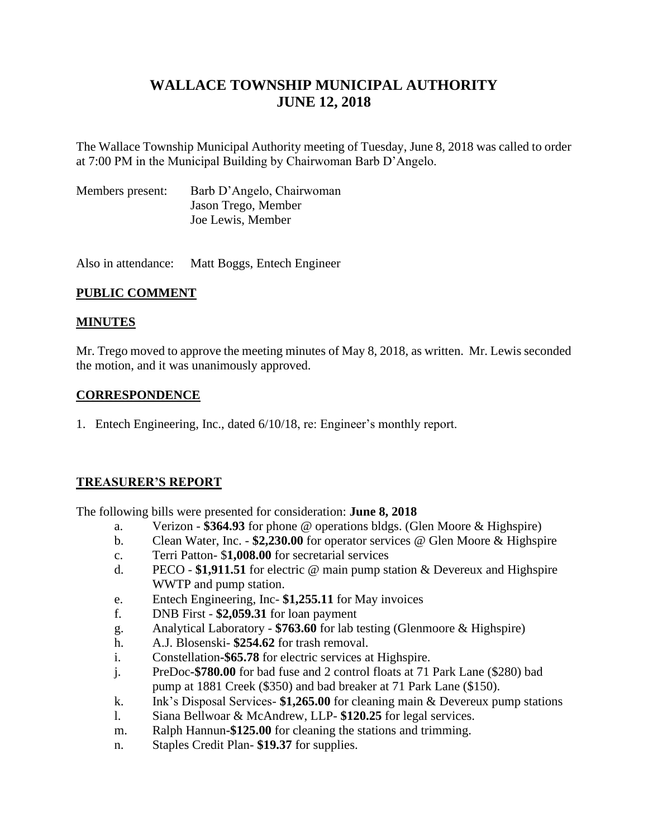# **WALLACE TOWNSHIP MUNICIPAL AUTHORITY JUNE 12, 2018**

The Wallace Township Municipal Authority meeting of Tuesday, June 8, 2018 was called to order at 7:00 PM in the Municipal Building by Chairwoman Barb D'Angelo.

| Members present: | Barb D'Angelo, Chairwoman |
|------------------|---------------------------|
|                  | Jason Trego, Member       |
|                  | Joe Lewis, Member         |

Also in attendance: Matt Boggs, Entech Engineer

# **PUBLIC COMMENT**

## **MINUTES**

Mr. Trego moved to approve the meeting minutes of May 8, 2018, as written. Mr. Lewis seconded the motion, and it was unanimously approved.

## **CORRESPONDENCE**

1. Entech Engineering, Inc., dated 6/10/18, re: Engineer's monthly report.

# **TREASURER'S REPORT**

The following bills were presented for consideration: **June 8, 2018**

- a. Verizon **\$364.93** for phone @ operations bldgs. (Glen Moore & Highspire)
- b. Clean Water, Inc. **\$2,230.00** for operator services @ Glen Moore & Highspire
- c. Terri Patton- \$**1,008.00** for secretarial services
- d. PECO **\$1,911.51** for electric @ main pump station & Devereux and Highspire WWTP and pump station.
- e. Entech Engineering, Inc- **\$1,255.11** for May invoices
- f. DNB First **\$2,059.31** for loan payment
- g. Analytical Laboratory **\$763.60** for lab testing (Glenmoore & Highspire)
- h. A.J. Blosenski- **\$254.62** for trash removal.
- i. Constellation**-\$65.78** for electric services at Highspire.
- j. PreDoc**-\$780.00** for bad fuse and 2 control floats at 71 Park Lane (\$280) bad pump at 1881 Creek (\$350) and bad breaker at 71 Park Lane (\$150).
- k. Ink's Disposal Services- **\$1,265.00** for cleaning main & Devereux pump stations
- l. Siana Bellwoar & McAndrew, LLP- **\$120.25** for legal services.
- m. Ralph Hannun**-\$125.00** for cleaning the stations and trimming.
- n. Staples Credit Plan- **\$19.37** for supplies.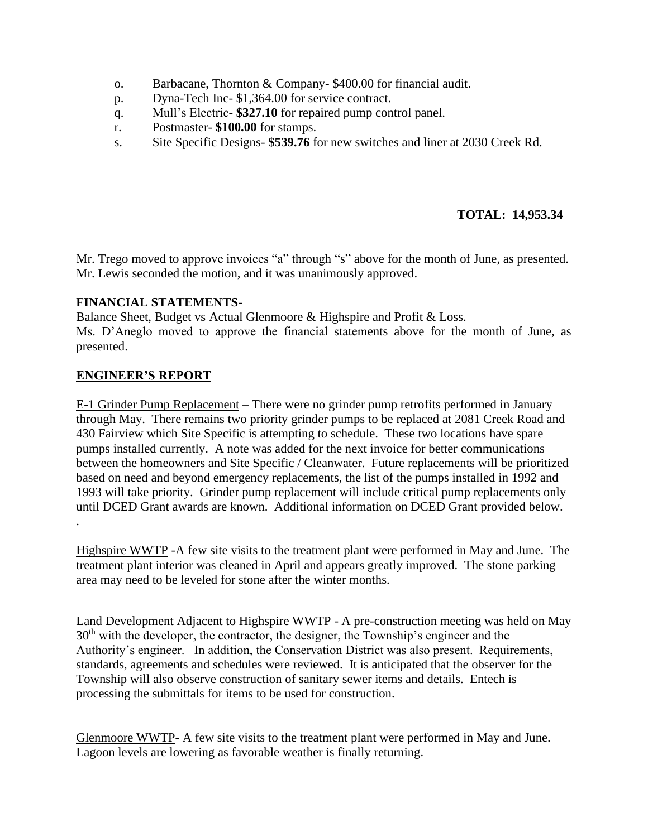- o. Barbacane, Thornton & Company- \$400.00 for financial audit.
- p. Dyna-Tech Inc- \$1,364.00 for service contract.
- q. Mull's Electric- **\$327.10** for repaired pump control panel.
- r. Postmaster- **\$100.00** for stamps.
- s. Site Specific Designs- **\$539.76** for new switches and liner at 2030 Creek Rd.

# **TOTAL: 14,953.34**

Mr. Trego moved to approve invoices "a" through "s" above for the month of June, as presented. Mr. Lewis seconded the motion, and it was unanimously approved.

## **FINANCIAL STATEMENTS**-

Balance Sheet, Budget vs Actual Glenmoore & Highspire and Profit & Loss. Ms. D'Aneglo moved to approve the financial statements above for the month of June, as presented.

## **ENGINEER'S REPORT**

E-1 Grinder Pump Replacement – There were no grinder pump retrofits performed in January through May. There remains two priority grinder pumps to be replaced at 2081 Creek Road and 430 Fairview which Site Specific is attempting to schedule. These two locations have spare pumps installed currently. A note was added for the next invoice for better communications between the homeowners and Site Specific / Cleanwater. Future replacements will be prioritized based on need and beyond emergency replacements, the list of the pumps installed in 1992 and 1993 will take priority. Grinder pump replacement will include critical pump replacements only until DCED Grant awards are known. Additional information on DCED Grant provided below. .

Highspire WWTP -A few site visits to the treatment plant were performed in May and June. The treatment plant interior was cleaned in April and appears greatly improved. The stone parking area may need to be leveled for stone after the winter months.

Land Development Adjacent to Highspire WWTP - A pre-construction meeting was held on May 30<sup>th</sup> with the developer, the contractor, the designer, the Township's engineer and the Authority's engineer. In addition, the Conservation District was also present. Requirements, standards, agreements and schedules were reviewed. It is anticipated that the observer for the Township will also observe construction of sanitary sewer items and details. Entech is processing the submittals for items to be used for construction.

Glenmoore WWTP- A few site visits to the treatment plant were performed in May and June. Lagoon levels are lowering as favorable weather is finally returning.